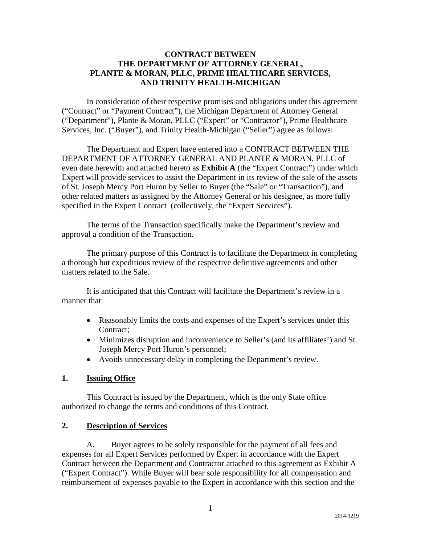#### **CONTRACT BETWEEN THE DEPARTMENT OF ATTORNEY GENERAL, PLANTE & MORAN, PLLC, PRIME HEALTHCARE SERVICES, AND TRINITY HEALTH-MICHIGAN**

In consideration of their respective promises and obligations under this agreement ("Contract" or "Payment Contract"), the Michigan Department of Attorney General ("Department"), Plante & Moran, PLLC ("Expert" or "Contractor"), Prime Healthcare Services, Inc. ("Buyer"), and Trinity Health-Michigan ("Seller") agree as follows:

The Department and Expert have entered into a CONTRACT BETWEEN THE DEPARTMENT OF ATTORNEY GENERAL AND PLANTE & MORAN, PLLC of even date herewith and attached hereto as **Exhibit A** (the "Expert Contract") under which Expert will provide services to assist the Department in its review of the sale of the assets of St. Joseph Mercy Port Huron by Seller to Buyer (the "Sale" or "Transaction"), and other related matters as assigned by the Attorney General or his designee, as more fully specified in the Expert Contract (collectively, the "Expert Services").

The terms of the Transaction specifically make the Department's review and approval a condition of the Transaction.

The primary purpose of this Contract is to facilitate the Department in completing a thorough but expeditious review of the respective definitive agreements and other matters related to the Sale.

It is anticipated that this Contract will facilitate the Department's review in a manner that:

- Reasonably limits the costs and expenses of the Expert's services under this Contract;
- Minimizes disruption and inconvenience to Seller's (and its affiliates') and St. Joseph Mercy Port Huron's personnel;
- Avoids unnecessary delay in completing the Department's review.

#### **1. Issuing Office**

This Contract is issued by the Department, which is the only State office authorized to change the terms and conditions of this Contract.

#### **2. Description of Services**

A. Buyer agrees to be solely responsible for the payment of all fees and expenses for all Expert Services performed by Expert in accordance with the Expert Contract between the Department and Contractor attached to this agreement as Exhibit A ("Expert Contract"). While Buyer will bear sole responsibility for all compensation and reimbursement of expenses payable to the Expert in accordance with this section and the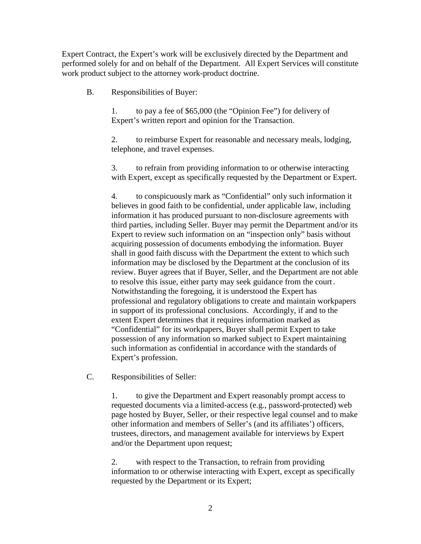Expert Contract, the Expert's work will be exclusively directed by the Department and performed solely for and on behalf of the Department. All Expert Services will constitute work product subject to the attorney work-product doctrine.

B. Responsibilities of Buyer:

1. to pay a fee of \$65,000 (the "Opinion Fee") for delivery of Expert's written report and opinion for the Transaction.

2. to reimburse Expert for reasonable and necessary meals, lodging, telephone, and travel expenses.

3. to refrain from providing information to or otherwise interacting with Expert, except as specifically requested by the Department or Expert.

4. to conspicuously mark as "Confidential" only such information it believes in good faith to be confidential, under applicable law, including information it has produced pursuant to non-disclosure agreements with third parties, including Seller. Buyer may permit the Department and/or its Expert to review such information on an "inspection only" basis without acquiring possession of documents embodying the information. Buyer shall in good faith discuss with the Department the extent to which such information may be disclosed by the Department at the conclusion of its review. Buyer agrees that if Buyer, Seller, and the Department are not able to resolve this issue, either party may seek guidance from the court. Notwithstanding the foregoing, it is understood the Expert has professional and regulatory obligations to create and maintain workpapers in support of its professional conclusions. Accordingly, if and to the extent Expert determines that it requires information marked as "Confidential" for its workpapers, Buyer shall permit Expert to take possession of any information so marked subject to Expert maintaining such information as confidential in accordance with the standards of Expert's profession.

C. Responsibilities of Seller:

1. to give the Department and Expert reasonably prompt access to requested documents via a limited-access (e.g., password-protected) web page hosted by Buyer, Seller, or their respective legal counsel and to make other information and members of Seller's (and its affiliates') officers, trustees, directors, and management available for interviews by Expert and/or the Department upon request;

2. with respect to the Transaction, to refrain from providing information to or otherwise interacting with Expert, except as specifically requested by the Department or its Expert;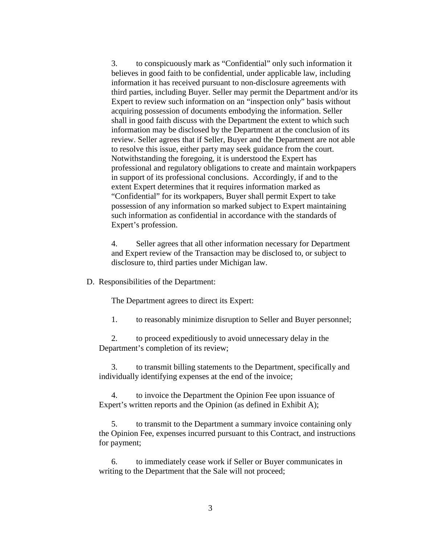3. to conspicuously mark as "Confidential" only such information it believes in good faith to be confidential, under applicable law, including information it has received pursuant to non-disclosure agreements with third parties, including Buyer. Seller may permit the Department and/or its Expert to review such information on an "inspection only" basis without acquiring possession of documents embodying the information. Seller shall in good faith discuss with the Department the extent to which such information may be disclosed by the Department at the conclusion of its review. Seller agrees that if Seller, Buyer and the Department are not able to resolve this issue, either party may seek guidance from the court. Notwithstanding the foregoing, it is understood the Expert has professional and regulatory obligations to create and maintain workpapers in support of its professional conclusions. Accordingly, if and to the extent Expert determines that it requires information marked as "Confidential" for its workpapers, Buyer shall permit Expert to take possession of any information so marked subject to Expert maintaining such information as confidential in accordance with the standards of Expert's profession.

4. Seller agrees that all other information necessary for Department and Expert review of the Transaction may be disclosed to, or subject to disclosure to, third parties under Michigan law.

D. Responsibilities of the Department:

The Department agrees to direct its Expert:

1. to reasonably minimize disruption to Seller and Buyer personnel;

2. to proceed expeditiously to avoid unnecessary delay in the Department's completion of its review;

3. to transmit billing statements to the Department, specifically and individually identifying expenses at the end of the invoice;

4. to invoice the Department the Opinion Fee upon issuance of Expert's written reports and the Opinion (as defined in Exhibit A);

5. to transmit to the Department a summary invoice containing only the Opinion Fee, expenses incurred pursuant to this Contract, and instructions for payment;

6. to immediately cease work if Seller or Buyer communicates in writing to the Department that the Sale will not proceed;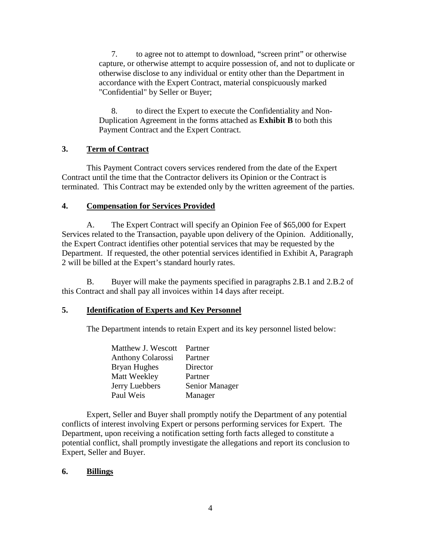7. to agree not to attempt to download, "screen print" or otherwise capture, or otherwise attempt to acquire possession of, and not to duplicate or otherwise disclose to any individual or entity other than the Department in accordance with the Expert Contract, material conspicuously marked "Confidential" by Seller or Buyer;

8. to direct the Expert to execute the Confidentiality and Non-Duplication Agreement in the forms attached as **Exhibit B** to both this Payment Contract and the Expert Contract.

## **3. Term of Contract**

This Payment Contract covers services rendered from the date of the Expert Contract until the time that the Contractor delivers its Opinion or the Contract is terminated. This Contract may be extended only by the written agreement of the parties.

## **4. Compensation for Services Provided**

A. The Expert Contract will specify an Opinion Fee of \$65,000 for Expert Services related to the Transaction, payable upon delivery of the Opinion. Additionally, the Expert Contract identifies other potential services that may be requested by the Department. If requested, the other potential services identified in Exhibit A, Paragraph 2 will be billed at the Expert's standard hourly rates.

B. Buyer will make the payments specified in paragraphs 2.B.1 and 2.B.2 of this Contract and shall pay all invoices within 14 days after receipt.

# **5. Identification of Experts and Key Personnel**

The Department intends to retain Expert and its key personnel listed below:

| Matthew J. Wescott       | Partner        |
|--------------------------|----------------|
| <b>Anthony Colarossi</b> | Partner        |
| Bryan Hughes             | Director       |
| Matt Weekley             | Partner        |
| Jerry Luebbers           | Senior Manager |
| Paul Weis                | Manager        |

Expert, Seller and Buyer shall promptly notify the Department of any potential conflicts of interest involving Expert or persons performing services for Expert. The Department, upon receiving a notification setting forth facts alleged to constitute a potential conflict, shall promptly investigate the allegations and report its conclusion to Expert, Seller and Buyer.

## **6. Billings**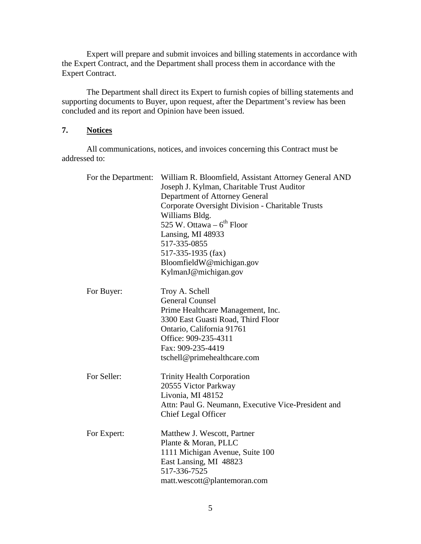Expert will prepare and submit invoices and billing statements in accordance with the Expert Contract, and the Department shall process them in accordance with the Expert Contract.

The Department shall direct its Expert to furnish copies of billing statements and supporting documents to Buyer, upon request, after the Department's review has been concluded and its report and Opinion have been issued.

## **7. Notices**

All communications, notices, and invoices concerning this Contract must be addressed to:

| For the Department: | William R. Bloomfield, Assistant Attorney General AND<br>Joseph J. Kylman, Charitable Trust Auditor<br>Department of Attorney General<br>Corporate Oversight Division - Charitable Trusts<br>Williams Bldg.<br>525 W. Ottawa $-6$ <sup>th</sup> Floor<br>Lansing, MI 48933<br>517-335-0855 |  |
|---------------------|--------------------------------------------------------------------------------------------------------------------------------------------------------------------------------------------------------------------------------------------------------------------------------------------|--|
|                     | 517-335-1935 (fax)<br>BloomfieldW@michigan.gov<br>KylmanJ@michigan.gov                                                                                                                                                                                                                     |  |
| For Buyer:          | Troy A. Schell<br><b>General Counsel</b><br>Prime Healthcare Management, Inc.<br>3300 East Guasti Road, Third Floor<br>Ontario, California 91761<br>Office: 909-235-4311<br>Fax: 909-235-4419<br>tschell@primehealthcare.com                                                               |  |
| For Seller:         | <b>Trinity Health Corporation</b><br>20555 Victor Parkway<br>Livonia, MI 48152<br>Attn: Paul G. Neumann, Executive Vice-President and<br><b>Chief Legal Officer</b>                                                                                                                        |  |
| For Expert:         | Matthew J. Wescott, Partner<br>Plante & Moran, PLLC<br>1111 Michigan Avenue, Suite 100<br>East Lansing, MI 48823<br>517-336-7525<br>matt.wescott@plantemoran.com                                                                                                                           |  |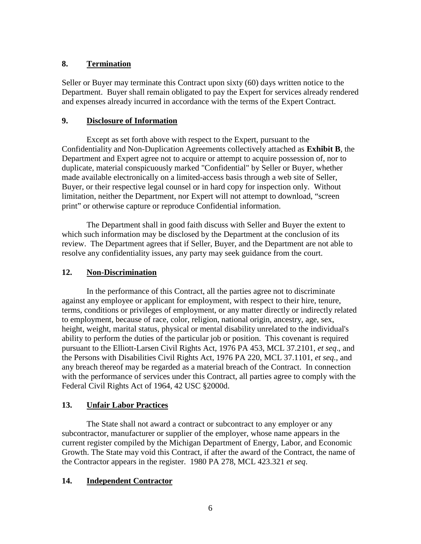## **8. Termination**

Seller or Buyer may terminate this Contract upon sixty (60) days written notice to the Department. Buyer shall remain obligated to pay the Expert for services already rendered and expenses already incurred in accordance with the terms of the Expert Contract.

## **9. Disclosure of Information**

Except as set forth above with respect to the Expert, pursuant to the Confidentiality and Non-Duplication Agreements collectively attached as **Exhibit B**, the Department and Expert agree not to acquire or attempt to acquire possession of, nor to duplicate, material conspicuously marked "Confidential" by Seller or Buyer, whether made available electronically on a limited-access basis through a web site of Seller, Buyer, or their respective legal counsel or in hard copy for inspection only. Without limitation, neither the Department, nor Expert will not attempt to download, "screen print" or otherwise capture or reproduce Confidential information.

The Department shall in good faith discuss with Seller and Buyer the extent to which such information may be disclosed by the Department at the conclusion of its review. The Department agrees that if Seller, Buyer, and the Department are not able to resolve any confidentiality issues, any party may seek guidance from the court.

# **12. Non-Discrimination**

In the performance of this Contract, all the parties agree not to discriminate against any employee or applicant for employment, with respect to their hire, tenure, terms, conditions or privileges of employment, or any matter directly or indirectly related to employment, because of race, color, religion, national origin, ancestry, age, sex, height, weight, marital status, physical or mental disability unrelated to the individual's ability to perform the duties of the particular job or position. This covenant is required pursuant to the Elliott-Larsen Civil Rights Act, 1976 PA 453, MCL 37.2101, *et seq*., and the Persons with Disabilities Civil Rights Act, 1976 PA 220, MCL 37.1101, *et seq.*, and any breach thereof may be regarded as a material breach of the Contract. In connection with the performance of services under this Contract, all parties agree to comply with the Federal Civil Rights Act of 1964, 42 USC §2000d.

## **13. Unfair Labor Practices**

The State shall not award a contract or subcontract to any employer or any subcontractor, manufacturer or supplier of the employer, whose name appears in the current register compiled by the Michigan Department of Energy, Labor, and Economic Growth. The State may void this Contract, if after the award of the Contract, the name of the Contractor appears in the register. 1980 PA 278, MCL 423.321 *et seq*.

# **14. Independent Contractor**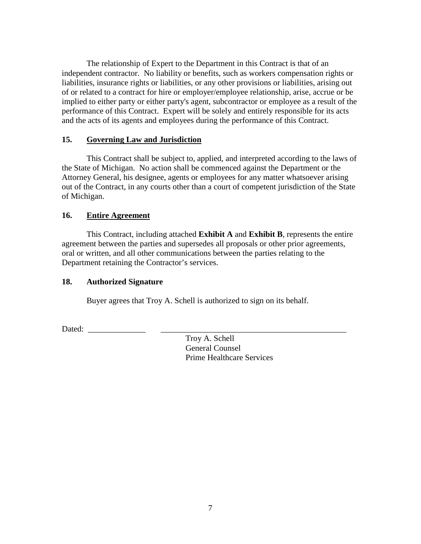The relationship of Expert to the Department in this Contract is that of an independent contractor. No liability or benefits, such as workers compensation rights or liabilities, insurance rights or liabilities, or any other provisions or liabilities, arising out of or related to a contract for hire or employer/employee relationship, arise, accrue or be implied to either party or either party's agent, subcontractor or employee as a result of the performance of this Contract. Expert will be solely and entirely responsible for its acts and the acts of its agents and employees during the performance of this Contract.

#### **15. Governing Law and Jurisdiction**

This Contract shall be subject to, applied, and interpreted according to the laws of the State of Michigan. No action shall be commenced against the Department or the Attorney General, his designee, agents or employees for any matter whatsoever arising out of the Contract, in any courts other than a court of competent jurisdiction of the State of Michigan.

#### **16. Entire Agreement**

This Contract, including attached **Exhibit A** and **Exhibit B**, represents the entire agreement between the parties and supersedes all proposals or other prior agreements, oral or written, and all other communications between the parties relating to the Department retaining the Contractor's services.

## **18. Authorized Signature**

Buyer agrees that Troy A. Schell is authorized to sign on its behalf.

Dated:

Troy A. Schell General Counsel Prime Healthcare Services